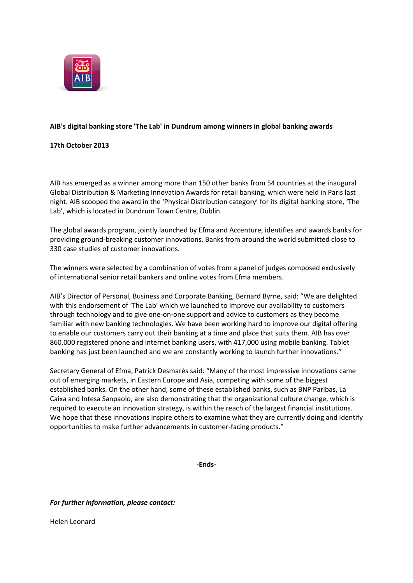

# **AIB's digital banking store 'The Lab' in Dundrum among winners in global banking awards**

## **17th October 2013**

AIB has emerged as a winner among more than 150 other banks from 54 countries at the inaugural Global Distribution & Marketing Innovation Awards for retail banking, which were held in Paris last night. AIB scooped the award in the 'Physical Distribution category' for its digital banking store, 'The Lab', which is located in Dundrum Town Centre, Dublin.

The global awards program, jointly launched by Efma and Accenture, identifies and awards banks for providing ground-breaking customer innovations. Banks from around the world submitted close to 330 case studies of customer innovations.

The winners were selected by a combination of votes from a panel of judges composed exclusively of international senior retail bankers and online votes from Efma members.

AIB's Director of Personal, Business and Corporate Banking, Bernard Byrne, said: "We are delighted with this endorsement of 'The Lab' which we launched to improve our availability to customers through technology and to give one-on-one support and advice to customers as they become familiar with new banking technologies. We have been working hard to improve our digital offering to enable our customers carry out their banking at a time and place that suits them. AIB has over 860,000 registered phone and internet banking users, with 417,000 using mobile banking. Tablet banking has just been launched and we are constantly working to launch further innovations."

Secretary General of Efma, Patrick Desmarès said: "Many of the most impressive innovations came out of emerging markets, in Eastern Europe and Asia, competing with some of the biggest established banks. On the other hand, some of these established banks, such as BNP Paribas, La Caixa and Intesa Sanpaolo, are also demonstrating that the organizational culture change, which is required to execute an innovation strategy, is within the reach of the largest financial institutions. We hope that these innovations inspire others to examine what they are currently doing and identify opportunities to make further advancements in customer-facing products."

**-Ends-**

## *For further information, please contact:*

Helen Leonard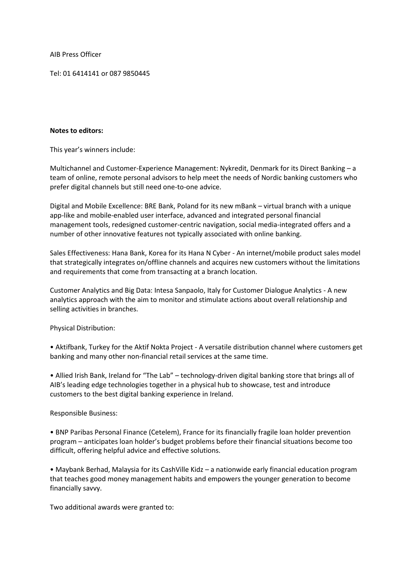AIB Press Officer

Tel: 01 6414141 or 087 9850445

#### **Notes to editors:**

This year's winners include:

Multichannel and Customer-Experience Management: Nykredit, Denmark for its Direct Banking – a team of online, remote personal advisors to help meet the needs of Nordic banking customers who prefer digital channels but still need one-to-one advice.

Digital and Mobile Excellence: BRE Bank, Poland for its new mBank – virtual branch with a unique app-like and mobile-enabled user interface, advanced and integrated personal financial management tools, redesigned customer-centric navigation, social media-integrated offers and a number of other innovative features not typically associated with online banking.

Sales Effectiveness: Hana Bank, Korea for its Hana N Cyber - An internet/mobile product sales model that strategically integrates on/offline channels and acquires new customers without the limitations and requirements that come from transacting at a branch location.

Customer Analytics and Big Data: Intesa Sanpaolo, Italy for Customer Dialogue Analytics - A new analytics approach with the aim to monitor and stimulate actions about overall relationship and selling activities in branches.

Physical Distribution:

• Aktifbank, Turkey for the Aktif Nokta Project - A versatile distribution channel where customers get banking and many other non-financial retail services at the same time.

• Allied Irish Bank, Ireland for "The Lab" – technology-driven digital banking store that brings all of AIB's leading edge technologies together in a physical hub to showcase, test and introduce customers to the best digital banking experience in Ireland.

## Responsible Business:

• BNP Paribas Personal Finance (Cetelem), France for its financially fragile loan holder prevention program – anticipates loan holder's budget problems before their financial situations become too difficult, offering helpful advice and effective solutions.

• Maybank Berhad, Malaysia for its CashVille Kidz – a nationwide early financial education program that teaches good money management habits and empowers the younger generation to become financially savvy.

Two additional awards were granted to: